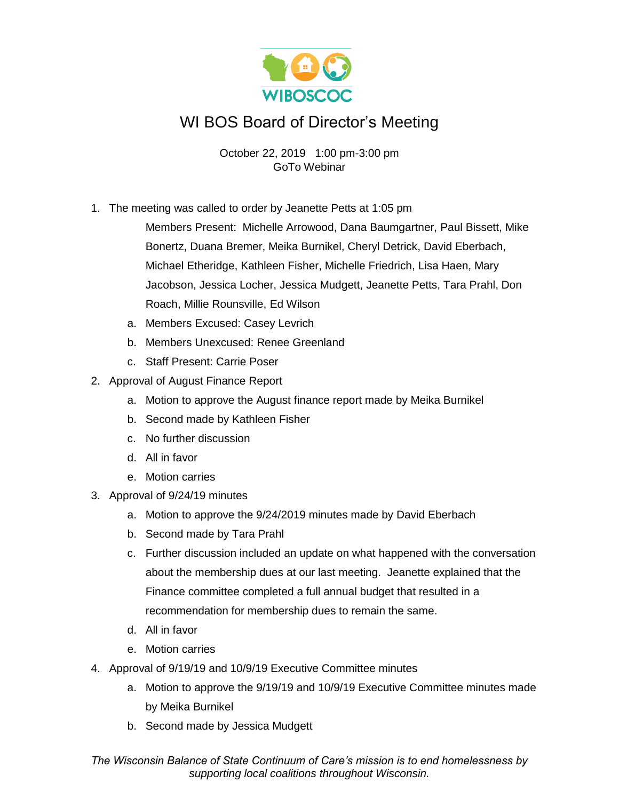

## WI BOS Board of Director's Meeting

October 22, 2019 1:00 pm-3:00 pm GoTo Webinar

1. The meeting was called to order by Jeanette Petts at 1:05 pm

Members Present: Michelle Arrowood, Dana Baumgartner, Paul Bissett, Mike Bonertz, Duana Bremer, Meika Burnikel, Cheryl Detrick, David Eberbach, Michael Etheridge, Kathleen Fisher, Michelle Friedrich, Lisa Haen, Mary Jacobson, Jessica Locher, Jessica Mudgett, Jeanette Petts, Tara Prahl, Don Roach, Millie Rounsville, Ed Wilson

- a. Members Excused: Casey Levrich
- b. Members Unexcused: Renee Greenland
- c. Staff Present: Carrie Poser
- 2. Approval of August Finance Report
	- a. Motion to approve the August finance report made by Meika Burnikel
	- b. Second made by Kathleen Fisher
	- c. No further discussion
	- d. All in favor
	- e. Motion carries
- 3. Approval of 9/24/19 minutes
	- a. Motion to approve the 9/24/2019 minutes made by David Eberbach
	- b. Second made by Tara Prahl
	- c. Further discussion included an update on what happened with the conversation about the membership dues at our last meeting. Jeanette explained that the Finance committee completed a full annual budget that resulted in a recommendation for membership dues to remain the same.
	- d. All in favor
	- e. Motion carries
- 4. Approval of 9/19/19 and 10/9/19 Executive Committee minutes
	- a. Motion to approve the 9/19/19 and 10/9/19 Executive Committee minutes made by Meika Burnikel
	- b. Second made by Jessica Mudgett

*The Wisconsin Balance of State Continuum of Care's mission is to end homelessness by supporting local coalitions throughout Wisconsin.*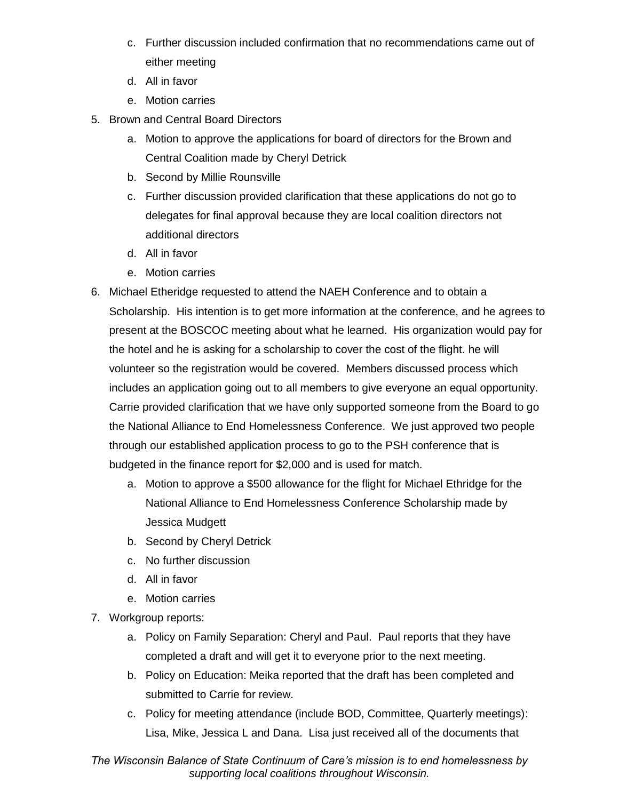- c. Further discussion included confirmation that no recommendations came out of either meeting
- d. All in favor
- e. Motion carries
- 5. Brown and Central Board Directors
	- a. Motion to approve the applications for board of directors for the Brown and Central Coalition made by Cheryl Detrick
	- b. Second by Millie Rounsville
	- c. Further discussion provided clarification that these applications do not go to delegates for final approval because they are local coalition directors not additional directors
	- d. All in favor
	- e. Motion carries
- 6. Michael Etheridge requested to attend the NAEH Conference and to obtain a Scholarship. His intention is to get more information at the conference, and he agrees to present at the BOSCOC meeting about what he learned. His organization would pay for the hotel and he is asking for a scholarship to cover the cost of the flight. he will volunteer so the registration would be covered. Members discussed process which includes an application going out to all members to give everyone an equal opportunity. Carrie provided clarification that we have only supported someone from the Board to go the National Alliance to End Homelessness Conference. We just approved two people through our established application process to go to the PSH conference that is budgeted in the finance report for \$2,000 and is used for match.
	- a. Motion to approve a \$500 allowance for the flight for Michael Ethridge for the National Alliance to End Homelessness Conference Scholarship made by Jessica Mudgett
	- b. Second by Cheryl Detrick
	- c. No further discussion
	- d. All in favor
	- e. Motion carries
- 7. Workgroup reports:
	- a. Policy on Family Separation: Cheryl and Paul. Paul reports that they have completed a draft and will get it to everyone prior to the next meeting.
	- b. Policy on Education: Meika reported that the draft has been completed and submitted to Carrie for review.
	- c. Policy for meeting attendance (include BOD, Committee, Quarterly meetings): Lisa, Mike, Jessica L and Dana. Lisa just received all of the documents that

*The Wisconsin Balance of State Continuum of Care's mission is to end homelessness by supporting local coalitions throughout Wisconsin.*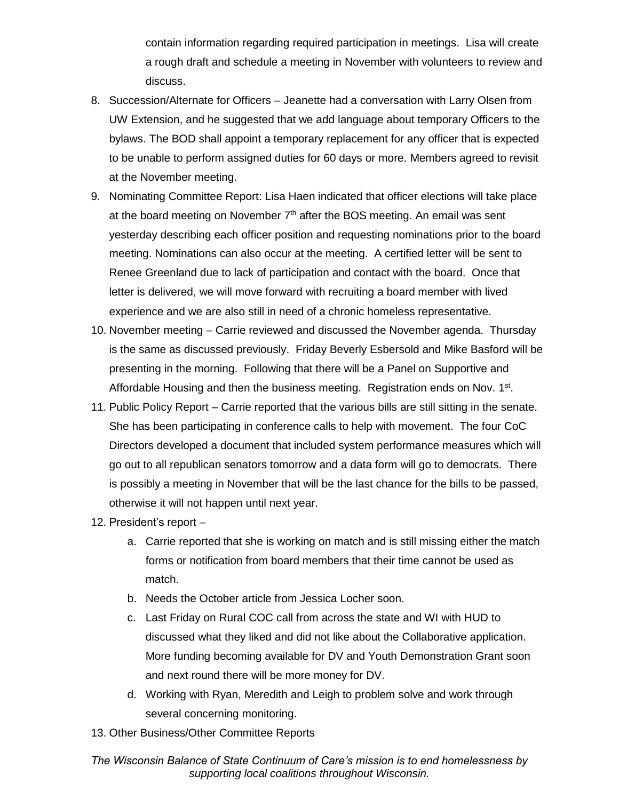contain information regarding required participation in meetings. Lisa will create a rough draft and schedule a meeting in November with volunteers to review and discuss.

- 8. Succession/Alternate for Officers Jeanette had a conversation with Larry Olsen from UW Extension, and he suggested that we add language about temporary Officers to the bylaws. The BOD shall appoint a temporary replacement for any officer that is expected to be unable to perform assigned duties for 60 days or more. Members agreed to revisit at the November meeting.
- 9. Nominating Committee Report: Lisa Haen indicated that officer elections will take place at the board meeting on November  $7<sup>th</sup>$  after the BOS meeting. An email was sent yesterday describing each officer position and requesting nominations prior to the board meeting. Nominations can also occur at the meeting. A certified letter will be sent to Renee Greenland due to lack of participation and contact with the board. Once that letter is delivered, we will move forward with recruiting a board member with lived experience and we are also still in need of a chronic homeless representative.
- 10. November meeting Carrie reviewed and discussed the November agenda. Thursday is the same as discussed previously. Friday Beverly Esbersold and Mike Basford will be presenting in the morning. Following that there will be a Panel on Supportive and Affordable Housing and then the business meeting. Registration ends on Nov. 1<sup>st</sup>.
- 11. Public Policy Report Carrie reported that the various bills are still sitting in the senate. She has been participating in conference calls to help with movement. The four CoC Directors developed a document that included system performance measures which will go out to all republican senators tomorrow and a data form will go to democrats. There is possibly a meeting in November that will be the last chance for the bills to be passed, otherwise it will not happen until next year.
- 12. President's report
	- a. Carrie reported that she is working on match and is still missing either the match forms or notification from board members that their time cannot be used as match.
	- b. Needs the October article from Jessica Locher soon.
	- c. Last Friday on Rural COC call from across the state and WI with HUD to discussed what they liked and did not like about the Collaborative application. More funding becoming available for DV and Youth Demonstration Grant soon and next round there will be more money for DV.
	- d. Working with Ryan, Meredith and Leigh to problem solve and work through several concerning monitoring.
- 13. Other Business/Other Committee Reports

*The Wisconsin Balance of State Continuum of Care's mission is to end homelessness by supporting local coalitions throughout Wisconsin.*